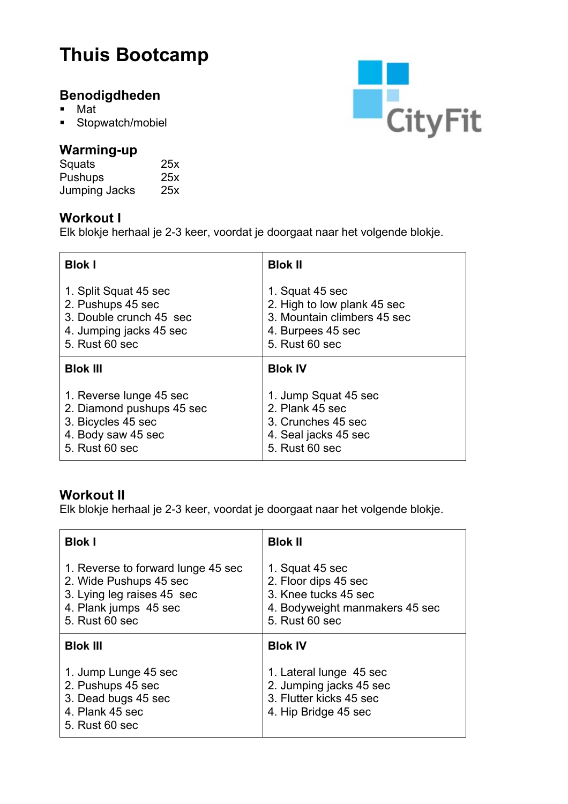# **Thuis Bootcamp**

## **Benodigdheden**

- § Mat
- § Stopwatch/mobiel

#### **Warming-up**

| Squats         | 25x |
|----------------|-----|
| <b>Pushups</b> | 25x |
| Jumping Jacks  | 25x |

#### **Workout I**

Elk blokje herhaal je 2-3 keer, voordat je doorgaat naar het volgende blokje.

| <b>Blok I</b>             | <b>Blok II</b>              |
|---------------------------|-----------------------------|
| 1. Split Squat 45 sec     | 1. Squat 45 sec             |
| 2. Pushups 45 sec         | 2. High to low plank 45 sec |
| 3. Double crunch 45 sec   | 3. Mountain climbers 45 sec |
| 4. Jumping jacks 45 sec   | 4. Burpees 45 sec           |
| 5. Rust 60 sec            | 5. Rust 60 sec              |
| <b>Blok III</b>           | <b>Blok IV</b>              |
| 1. Reverse lunge 45 sec   | 1. Jump Squat 45 sec        |
| 2. Diamond pushups 45 sec | 2. Plank 45 sec             |
| 3. Bicycles 45 sec        | 3. Crunches 45 sec          |
| 4. Body saw 45 sec        | 4. Seal jacks 45 sec        |
| 5. Rust 60 sec            | 5. Rust 60 sec              |

### **Workout II**

Elk blokje herhaal je 2-3 keer, voordat je doorgaat naar het volgende blokje.

| <b>Blok I</b>                                                                                                                         | <b>Blok II</b>                                                                                                      |
|---------------------------------------------------------------------------------------------------------------------------------------|---------------------------------------------------------------------------------------------------------------------|
| 1. Reverse to forward lunge 45 sec<br>2. Wide Pushups 45 sec<br>3. Lying leg raises 45 sec<br>4. Plank jumps 45 sec<br>5. Rust 60 sec | 1. Squat 45 sec<br>2. Floor dips 45 sec<br>3. Knee tucks 45 sec<br>4. Bodyweight manmakers 45 sec<br>5. Rust 60 sec |
| <b>Blok III</b>                                                                                                                       | <b>Blok IV</b>                                                                                                      |
| 1. Jump Lunge 45 sec<br>2. Pushups 45 sec<br>3. Dead bugs 45 sec<br>4. Plank 45 sec<br>5. Rust 60 sec                                 | 1. Lateral lunge 45 sec<br>2. Jumping jacks 45 sec<br>3. Flutter kicks 45 sec<br>4. Hip Bridge 45 sec               |